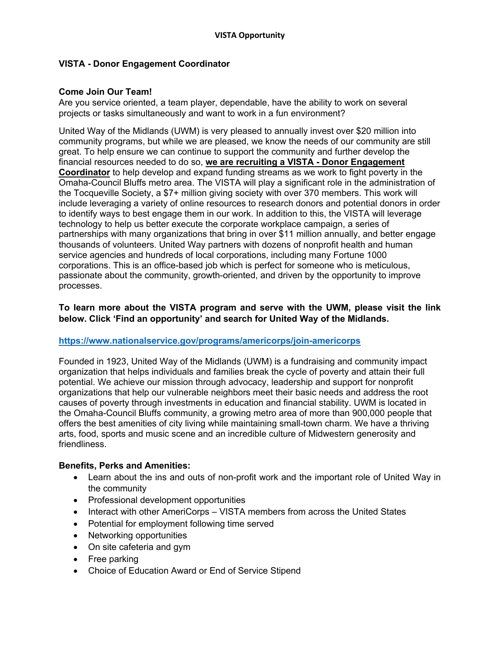# **VISTA - Donor Engagement Coordinator**

## **Come Join Our Team!**

Are you service oriented, a team player, dependable, have the ability to work on several projects or tasks simultaneously and want to work in a fun environment?

United Way of the Midlands (UWM) is very pleased to annually invest over \$20 million into community programs, but while we are pleased, we know the needs of our community are still great. To help ensure we can continue to support the community and further develop the financial resources needed to do so, **we are recruiting a VISTA - Donor Engagement Coordinator** to help develop and expand funding streams as we work to fight poverty in the Omaha-Council Bluffs metro area. The VISTA will play a significant role in the administration of the Tocqueville Society, a \$7+ million giving society with over 370 members. This work will include leveraging a variety of online resources to research donors and potential donors in order to identify ways to best engage them in our work. In addition to this, the VISTA will leverage technology to help us better execute the corporate workplace campaign, a series of partnerships with many organizations that bring in over \$11 million annually, and better engage thousands of volunteers. United Way partners with dozens of nonprofit health and human service agencies and hundreds of local corporations, including many Fortune 1000 corporations. This is an office-based job which is perfect for someone who is meticulous, passionate about the community, growth-oriented, and driven by the opportunity to improve processes.

## **To learn more about the VISTA program and serve with the UWM, please visit the link below. Click 'Find an opportunity' and search for United Way of the Midlands.**

## **https://www.nationalservice.gov/programs/americorps/join-americorps**

Founded in 1923, United Way of the Midlands (UWM) is a fundraising and community impact organization that helps individuals and families break the cycle of poverty and attain their full potential. We achieve our mission through advocacy, leadership and support for nonprofit organizations that help our vulnerable neighbors meet their basic needs and address the root causes of poverty through investments in education and financial stability. UWM is located in the Omaha-Council Bluffs community, a growing metro area of more than 900,000 people that offers the best amenities of city living while maintaining small-town charm. We have a thriving arts, food, sports and music scene and an incredible culture of Midwestern generosity and friendliness.

#### **Benefits, Perks and Amenities:**

- Learn about the ins and outs of non-profit work and the important role of United Way in the community
- Professional development opportunities
- Interact with other AmeriCorps VISTA members from across the United States
- Potential for employment following time served
- Networking opportunities
- On site cafeteria and gym
- Free parking
- Choice of Education Award or End of Service Stipend